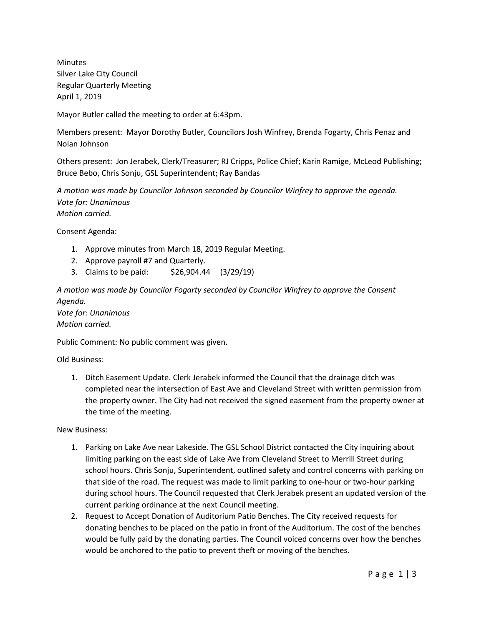Minutes Silver Lake City Council Regular Quarterly Meeting April 1, 2019

Mayor Butler called the meeting to order at 6:43pm.

Members present: Mayor Dorothy Butler, Councilors Josh Winfrey, Brenda Fogarty, Chris Penaz and Nolan Johnson

Others present: Jon Jerabek, Clerk/Treasurer; RJ Cripps, Police Chief; Karin Ramige, McLeod Publishing; Bruce Bebo, Chris Sonju, GSL Superintendent; Ray Bandas

*A motion was made by Councilor Johnson seconded by Councilor Winfrey to approve the agenda. Vote for: Unanimous Motion carried.*

Consent Agenda:

- 1. Approve minutes from March 18, 2019 Regular Meeting.
- 2. Approve payroll #7 and Quarterly.
- 3. Claims to be paid: \$26,904.44 (3/29/19)

*A motion was made by Councilor Fogarty seconded by Councilor Winfrey to approve the Consent Agenda.*

*Vote for: Unanimous Motion carried.*

Public Comment: No public comment was given.

Old Business:

1. Ditch Easement Update. Clerk Jerabek informed the Council that the drainage ditch was completed near the intersection of East Ave and Cleveland Street with written permission from the property owner. The City had not received the signed easement from the property owner at the time of the meeting.

New Business:

- 1. Parking on Lake Ave near Lakeside. The GSL School District contacted the City inquiring about limiting parking on the east side of Lake Ave from Cleveland Street to Merrill Street during school hours. Chris Sonju, Superintendent, outlined safety and control concerns with parking on that side of the road. The request was made to limit parking to one-hour or two-hour parking during school hours. The Council requested that Clerk Jerabek present an updated version of the current parking ordinance at the next Council meeting.
- 2. Request to Accept Donation of Auditorium Patio Benches. The City received requests for donating benches to be placed on the patio in front of the Auditorium. The cost of the benches would be fully paid by the donating parties. The Council voiced concerns over how the benches would be anchored to the patio to prevent theft or moving of the benches.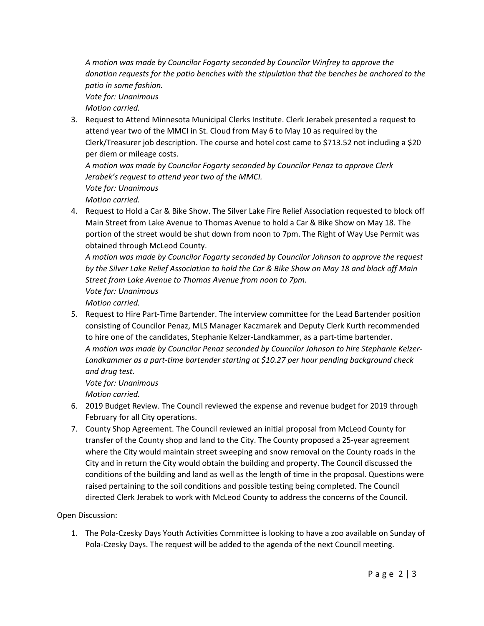*A motion was made by Councilor Fogarty seconded by Councilor Winfrey to approve the donation requests for the patio benches with the stipulation that the benches be anchored to the patio in some fashion.*

*Vote for: Unanimous*

*Motion carried.*

3. Request to Attend Minnesota Municipal Clerks Institute. Clerk Jerabek presented a request to attend year two of the MMCI in St. Cloud from May 6 to May 10 as required by the Clerk/Treasurer job description. The course and hotel cost came to \$713.52 not including a \$20 per diem or mileage costs.

*A motion was made by Councilor Fogarty seconded by Councilor Penaz to approve Clerk Jerabek's request to attend year two of the MMCI.* 

*Vote for: Unanimous*

*Motion carried.*

4. Request to Hold a Car & Bike Show. The Silver Lake Fire Relief Association requested to block off Main Street from Lake Avenue to Thomas Avenue to hold a Car & Bike Show on May 18. The portion of the street would be shut down from noon to 7pm. The Right of Way Use Permit was obtained through McLeod County.

*A motion was made by Councilor Fogarty seconded by Councilor Johnson to approve the request by the Silver Lake Relief Association to hold the Car & Bike Show on May 18 and block off Main Street from Lake Avenue to Thomas Avenue from noon to 7pm. Vote for: Unanimous*

*Motion carried.*

5. Request to Hire Part-Time Bartender. The interview committee for the Lead Bartender position consisting of Councilor Penaz, MLS Manager Kaczmarek and Deputy Clerk Kurth recommended to hire one of the candidates, Stephanie Kelzer-Landkammer, as a part-time bartender. *A motion was made by Councilor Penaz seconded by Councilor Johnson to hire Stephanie Kelzer-Landkammer as a part-time bartender starting at \$10.27 per hour pending background check and drug test.*

*Vote for: Unanimous*

*Motion carried.*

- 6. 2019 Budget Review. The Council reviewed the expense and revenue budget for 2019 through February for all City operations.
- 7. County Shop Agreement. The Council reviewed an initial proposal from McLeod County for transfer of the County shop and land to the City. The County proposed a 25-year agreement where the City would maintain street sweeping and snow removal on the County roads in the City and in return the City would obtain the building and property. The Council discussed the conditions of the building and land as well as the length of time in the proposal. Questions were raised pertaining to the soil conditions and possible testing being completed. The Council directed Clerk Jerabek to work with McLeod County to address the concerns of the Council.

Open Discussion:

1. The Pola-Czesky Days Youth Activities Committee is looking to have a zoo available on Sunday of Pola-Czesky Days. The request will be added to the agenda of the next Council meeting.